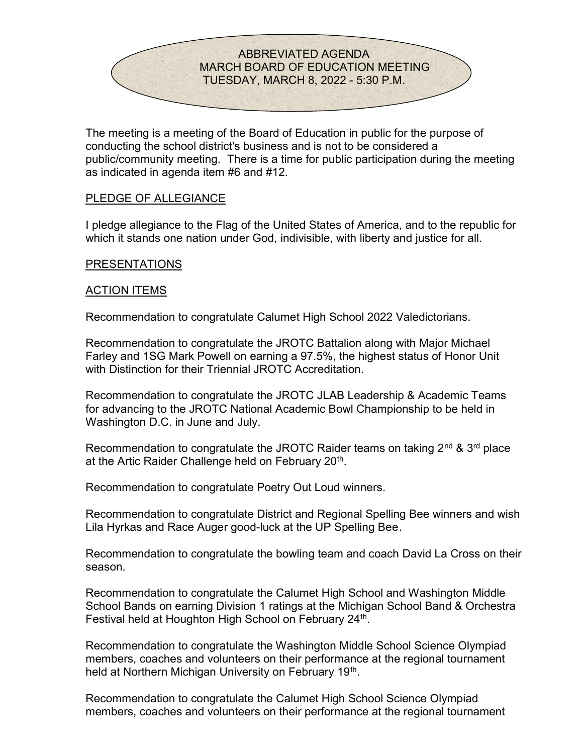

The meeting is a meeting of the Board of Education in public for the purpose of conducting the school district's business and is not to be considered a public/community meeting. There is a time for public participation during the meeting as indicated in agenda item #6 and #12.

# PLEDGE OF ALLEGIANCE

I pledge allegiance to the Flag of the United States of America, and to the republic for which it stands one nation under God, indivisible, with liberty and justice for all.

## PRESENTATIONS

# ACTION ITEMS

Recommendation to congratulate Calumet High School 2022 Valedictorians.

Recommendation to congratulate the JROTC Battalion along with Major Michael Farley and 1SG Mark Powell on earning a 97.5%, the highest status of Honor Unit with Distinction for their Triennial JROTC Accreditation.

Recommendation to congratulate the JROTC JLAB Leadership & Academic Teams for advancing to the JROTC National Academic Bowl Championship to be held in Washington D.C. in June and July.

Recommendation to congratulate the JROTC Raider teams on taking  $2<sup>nd</sup>$  &  $3<sup>rd</sup>$  place at the Artic Raider Challenge held on February 20<sup>th</sup>.

Recommendation to congratulate Poetry Out Loud winners.

Recommendation to congratulate District and Regional Spelling Bee winners and wish Lila Hyrkas and Race Auger good-luck at the UP Spelling Bee.

Recommendation to congratulate the bowling team and coach David La Cross on their season.

Recommendation to congratulate the Calumet High School and Washington Middle School Bands on earning Division 1 ratings at the Michigan School Band & Orchestra Festival held at Houghton High School on February 24<sup>th</sup>.

Recommendation to congratulate the Washington Middle School Science Olympiad members, coaches and volunteers on their performance at the regional tournament held at Northern Michigan University on February 19<sup>th</sup>.

Recommendation to congratulate the Calumet High School Science Olympiad members, coaches and volunteers on their performance at the regional tournament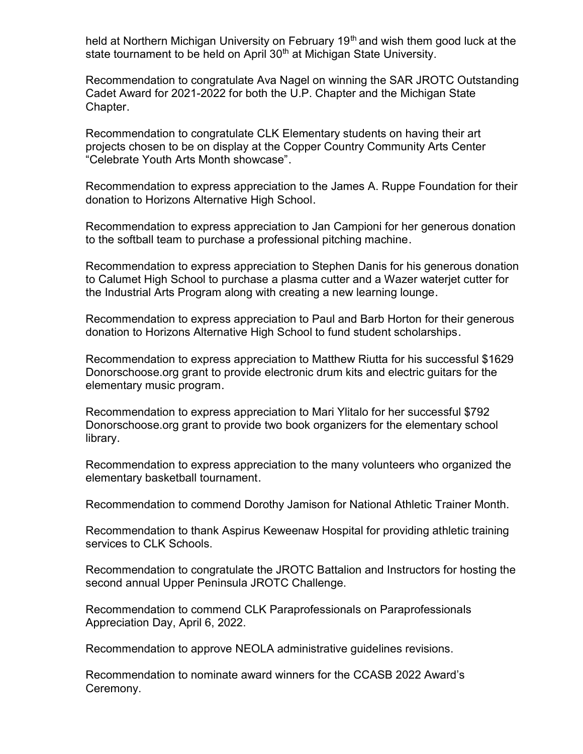held at Northern Michigan University on February 19<sup>th</sup> and wish them good luck at the state tournament to be held on April 30<sup>th</sup> at Michigan State University.

Recommendation to congratulate Ava Nagel on winning the SAR JROTC Outstanding Cadet Award for 2021-2022 for both the U.P. Chapter and the Michigan State Chapter.

Recommendation to congratulate CLK Elementary students on having their art projects chosen to be on display at the Copper Country Community Arts Center "Celebrate Youth Arts Month showcase".

Recommendation to express appreciation to the James A. Ruppe Foundation for their donation to Horizons Alternative High School.

Recommendation to express appreciation to Jan Campioni for her generous donation to the softball team to purchase a professional pitching machine.

Recommendation to express appreciation to Stephen Danis for his generous donation to Calumet High School to purchase a plasma cutter and a Wazer waterjet cutter for the Industrial Arts Program along with creating a new learning lounge.

Recommendation to express appreciation to Paul and Barb Horton for their generous donation to Horizons Alternative High School to fund student scholarships.

Recommendation to express appreciation to Matthew Riutta for his successful \$1629 Donorschoose.org grant to provide electronic drum kits and electric guitars for the elementary music program.

Recommendation to express appreciation to Mari Ylitalo for her successful \$792 Donorschoose.org grant to provide two book organizers for the elementary school library.

Recommendation to express appreciation to the many volunteers who organized the elementary basketball tournament.

Recommendation to commend Dorothy Jamison for National Athletic Trainer Month.

Recommendation to thank Aspirus Keweenaw Hospital for providing athletic training services to CLK Schools.

Recommendation to congratulate the JROTC Battalion and Instructors for hosting the second annual Upper Peninsula JROTC Challenge.

Recommendation to commend CLK Paraprofessionals on Paraprofessionals Appreciation Day, April 6, 2022.

Recommendation to approve NEOLA administrative guidelines revisions.

Recommendation to nominate award winners for the CCASB 2022 Award's Ceremony.